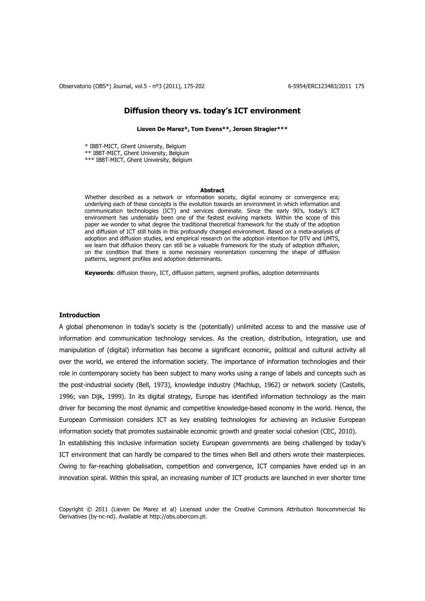Observatorio (OBS\*) Journal, vol.5 - nº3 (2011), 175-202 6-5954/ERC123483/2011 175

# **Diffusion theory vs. today's ICT environment**

**Lieven De Marez\*, Tom Evens\*\*, Jeroen Stragier\*\*\*** 

\* IBBT-MICT, Ghent University, Belgium \*\* IBBT-MICT, Ghent University, Belgium \*\*\* IBBT-MICT, Ghent University, Belgium

#### **Abstract**

Whether described as a network or information society, digital economy or convergence era; underlying each of these concepts is the evolution towards an environment in which information and communication technologies (ICT) and services dominate. Since the early 90's, today's ICT environment has undeniably been one of the fastest evolving markets. Within the scope of this paper we wonder to what degree the traditional theoretical framework for the study of the adoption and diffusion of ICT still holds in this profoundly changed environment. Based on a meta-analysis of adoption and diffusion studies, and empirical research on the adoption intention for DTV and UMTS, we learn that diffusion theory can still be a valuable framework for the study of adoption diffusion, on the condition that there is some necessary reorientation concerning the shape of diffusion patterns, segment profiles and adoption determinants.

**Keywords**: diffusion theory, ICT, diffusion pattern, segment profiles, adoption determinants

### **Introduction**

A global phenomenon in today's society is the (potentially) unlimited access to and the massive use of information and communication technology services. As the creation, distribution, integration, use and manipulation of (digital) information has become a significant economic, political and cultural activity all over the world, we entered the information society. The importance of information technologies and their role in contemporary society has been subject to many works using a range of labels and concepts such as the post-industrial society (Bell, 1973), knowledge industry (Machlup, 1962) or network society (Castells, 1996; van Dijk, 1999). In its digital strategy, Europe has identified information technology as the main driver for becoming the most dynamic and competitive knowledge-based economy in the world. Hence, the European Commission considers ICT as key enabling technologies for achieving an inclusive European information society that promotes sustainable economic growth and greater social cohesion (CEC, 2010).

In establishing this inclusive information society European governments are being challenged by today's ICT environment that can hardly be compared to the times when Bell and others wrote their masterpieces. Owing to far-reaching globalisation, competition and convergence, ICT companies have ended up in an innovation spiral. Within this spiral, an increasing number of ICT products are launched in ever shorter time

Copyright © 2011 (Lieven De Marez et al) Licensed under the Creative Commons Attribution Noncommercial No Derivatives (by-nc-nd). Available at http://obs.obercom.pt.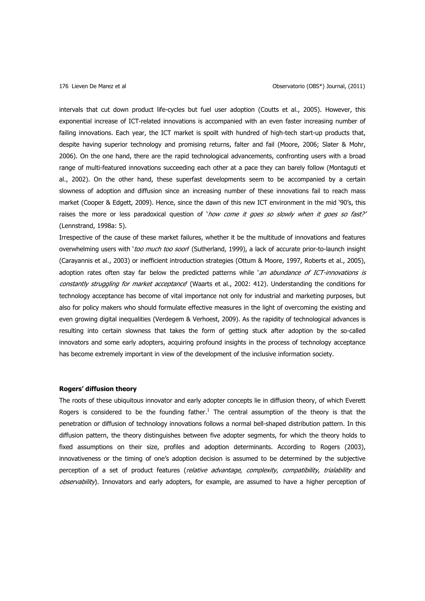intervals that cut down product life-cycles but fuel user adoption (Coutts et al., 2005). However, this exponential increase of ICT-related innovations is accompanied with an even faster increasing number of failing innovations. Each year, the ICT market is spoilt with hundred of high-tech start-up products that, despite having superior technology and promising returns, falter and fail (Moore, 2006; Slater & Mohr, 2006). On the one hand, there are the rapid technological advancements, confronting users with a broad range of multi-featured innovations succeeding each other at a pace they can barely follow (Montaguti et al., 2002). On the other hand, these superfast developments seem to be accompanied by a certain slowness of adoption and diffusion since an increasing number of these innovations fail to reach mass market (Cooper & Edgett, 2009). Hence, since the dawn of this new ICT environment in the mid '90's, this raises the more or less paradoxical question of 'how come it goes so slowly when it goes so fast?' (Lennstrand, 1998a: 5).

Irrespective of the cause of these market failures, whether it be the multitude of innovations and features overwhelming users with 'too much too soon' (Sutherland, 1999), a lack of accurate prior-to-launch insight (Carayannis et al., 2003) or inefficient introduction strategies (Ottum & Moore, 1997, Roberts et al., 2005), adoption rates often stay far below the predicted patterns while 'an abundance of ICT-innovations is constantly struggling for market acceptance (Waarts et al., 2002: 412). Understanding the conditions for technology acceptance has become of vital importance not only for industrial and marketing purposes, but also for policy makers who should formulate effective measures in the light of overcoming the existing and even growing digital inequalities (Verdegem & Verhoest, 2009). As the rapidity of technological advances is resulting into certain slowness that takes the form of getting stuck after adoption by the so-called innovators and some early adopters, acquiring profound insights in the process of technology acceptance has become extremely important in view of the development of the inclusive information society.

## **Rogers' diffusion theory**

The roots of these ubiquitous innovator and early adopter concepts lie in diffusion theory, of which Everett Rogers is considered to be the founding father.<sup>1</sup> The central assumption of the theory is that the penetration or diffusion of technology innovations follows a normal bell-shaped distribution pattern. In this diffusion pattern, the theory distinguishes between five adopter segments, for which the theory holds to fixed assumptions on their size, profiles and adoption determinants. According to Rogers (2003), innovativeness or the timing of one's adoption decision is assumed to be determined by the subjective perception of a set of product features (relative advantage, complexity, compatibility, trialability and observability). Innovators and early adopters, for example, are assumed to have a higher perception of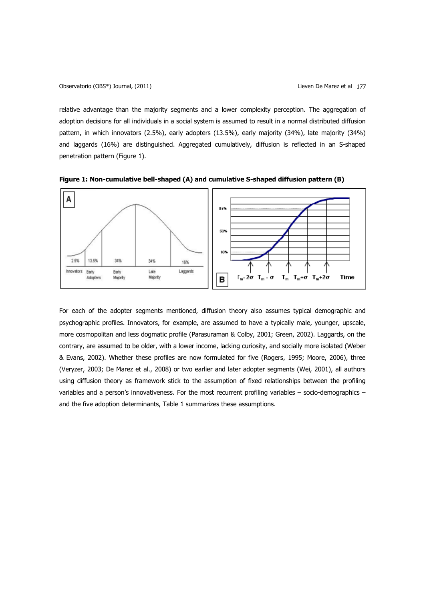relative advantage than the majority segments and a lower complexity perception. The aggregation of adoption decisions for all individuals in a social system is assumed to result in a normal distributed diffusion pattern, in which innovators (2.5%), early adopters (13.5%), early majority (34%), late majority (34%) and laggards (16%) are distinguished. Aggregated cumulatively, diffusion is reflected in an S-shaped penetration pattern (Figure 1).



**Figure 1: Non-cumulative bell-shaped (A) and cumulative S-shaped diffusion pattern (B)** 

For each of the adopter segments mentioned, diffusion theory also assumes typical demographic and psychographic profiles. Innovators, for example, are assumed to have a typically male, younger, upscale, more cosmopolitan and less dogmatic profile (Parasuraman & Colby, 2001; Green, 2002). Laggards, on the contrary, are assumed to be older, with a lower income, lacking curiosity, and socially more isolated (Weber & Evans, 2002). Whether these profiles are now formulated for five (Rogers, 1995; Moore, 2006), three (Veryzer, 2003; De Marez et al., 2008) or two earlier and later adopter segments (Wei, 2001), all authors using diffusion theory as framework stick to the assumption of fixed relationships between the profiling variables and a person's innovativeness. For the most recurrent profiling variables – socio-demographics – and the five adoption determinants, Table 1 summarizes these assumptions.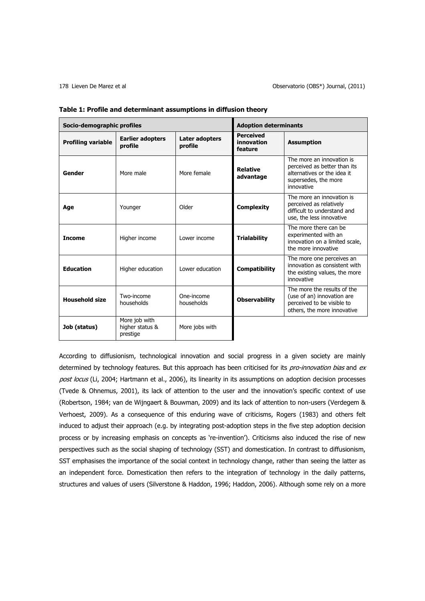| Socio-demographic profiles |                                              | <b>Adoption determinants</b>     |                                           |                                                                                                                                |
|----------------------------|----------------------------------------------|----------------------------------|-------------------------------------------|--------------------------------------------------------------------------------------------------------------------------------|
| <b>Profiling variable</b>  | <b>Earlier adopters</b><br>profile           | <b>Later adopters</b><br>profile | <b>Perceived</b><br>innovation<br>feature | <b>Assumption</b>                                                                                                              |
| Gender                     | More male                                    | More female                      | <b>Relative</b><br>advantage              | The more an innovation is<br>perceived as better than its<br>alternatives or the idea it<br>supersedes, the more<br>innovative |
| Age                        | Younger                                      | Older                            | <b>Complexity</b>                         | The more an innovation is<br>perceived as relatively<br>difficult to understand and<br>use, the less innovative                |
| <b>Income</b>              | Higher income                                | Lower income                     | <b>Trialability</b>                       | The more there can be<br>experimented with an<br>innovation on a limited scale,<br>the more innovative                         |
| <b>Education</b>           | Higher education                             | Lower education                  | <b>Compatibility</b>                      | The more one perceives an<br>innovation as consistent with<br>the existing values, the more<br>innovative                      |
| <b>Household size</b>      | Two-income<br>households                     | One-income<br>households         | <b>Observability</b>                      | The more the results of the<br>(use of an) innovation are<br>perceived to be visible to<br>others, the more innovative         |
| Job (status)               | More job with<br>higher status &<br>prestige | More jobs with                   |                                           |                                                                                                                                |

| Table 1: Profile and determinant assumptions in diffusion theory |  |
|------------------------------------------------------------------|--|
|------------------------------------------------------------------|--|

According to diffusionism, technological innovation and social progress in a given society are mainly determined by technology features. But this approach has been criticised for its pro-innovation bias and ex post locus (Li, 2004; Hartmann et al., 2006), its linearity in its assumptions on adoption decision processes (Tvede & Ohnemus, 2001), its lack of attention to the user and the innovation's specific context of use (Robertson, 1984; van de Wijngaert & Bouwman, 2009) and its lack of attention to non-users (Verdegem & Verhoest, 2009). As a consequence of this enduring wave of criticisms, Rogers (1983) and others felt induced to adjust their approach (e.g. by integrating post-adoption steps in the five step adoption decision process or by increasing emphasis on concepts as 're-invention'). Criticisms also induced the rise of new perspectives such as the social shaping of technology (SST) and domestication. In contrast to diffusionism, SST emphasises the importance of the social context in technology change, rather than seeing the latter as an independent force. Domestication then refers to the integration of technology in the daily patterns, structures and values of users (Silverstone & Haddon, 1996; Haddon, 2006). Although some rely on a more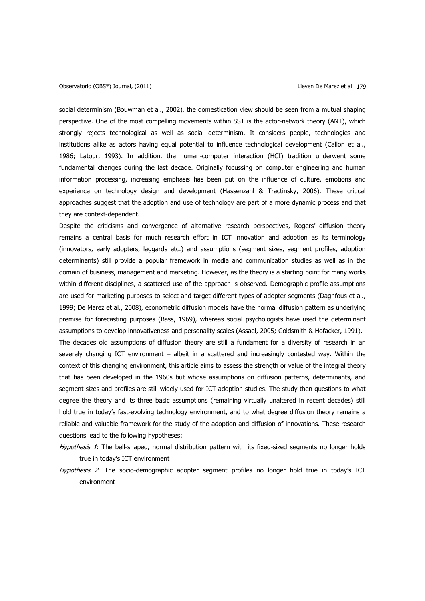questions lead to the following hypotheses:

social determinism (Bouwman et al., 2002), the domestication view should be seen from a mutual shaping perspective. One of the most compelling movements within SST is the actor-network theory (ANT), which strongly rejects technological as well as social determinism. It considers people, technologies and institutions alike as actors having equal potential to influence technological development (Callon et al., 1986; Latour, 1993). In addition, the human-computer interaction (HCI) tradition underwent some fundamental changes during the last decade. Originally focussing on computer engineering and human information processing, increasing emphasis has been put on the influence of culture, emotions and experience on technology design and development (Hassenzahl & Tractinsky, 2006). These critical approaches suggest that the adoption and use of technology are part of a more dynamic process and that they are context-dependent.

Despite the criticisms and convergence of alternative research perspectives, Rogers' diffusion theory remains a central basis for much research effort in ICT innovation and adoption as its terminology (innovators, early adopters, laggards etc.) and assumptions (segment sizes, segment profiles, adoption determinants) still provide a popular framework in media and communication studies as well as in the domain of business, management and marketing. However, as the theory is a starting point for many works within different disciplines, a scattered use of the approach is observed. Demographic profile assumptions are used for marketing purposes to select and target different types of adopter segments (Daghfous et al., 1999; De Marez et al., 2008), econometric diffusion models have the normal diffusion pattern as underlying premise for forecasting purposes (Bass, 1969), whereas social psychologists have used the determinant assumptions to develop innovativeness and personality scales (Assael, 2005; Goldsmith & Hofacker, 1991). The decades old assumptions of diffusion theory are still a fundament for a diversity of research in an severely changing ICT environment – albeit in a scattered and increasingly contested way. Within the context of this changing environment, this article aims to assess the strength or value of the integral theory that has been developed in the 1960s but whose assumptions on diffusion patterns, determinants, and segment sizes and profiles are still widely used for ICT adoption studies. The study then questions to what degree the theory and its three basic assumptions (remaining virtually unaltered in recent decades) still hold true in today's fast-evolving technology environment, and to what degree diffusion theory remains a reliable and valuable framework for the study of the adoption and diffusion of innovations. These research

- Hypothesis 1: The bell-shaped, normal distribution pattern with its fixed-sized segments no longer holds true in today's ICT environment
- Hypothesis 2: The socio-demographic adopter segment profiles no longer hold true in today's ICT environment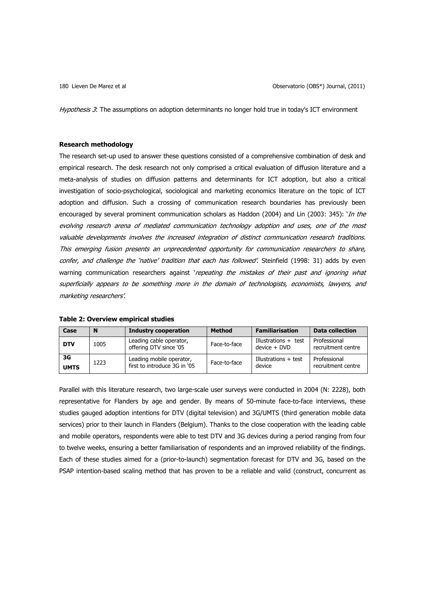Hypothesis 3: The assumptions on adoption determinants no longer hold true in today's ICT environment

## **Research methodology**

The research set-up used to answer these questions consisted of a comprehensive combination of desk and empirical research. The desk research not only comprised a critical evaluation of diffusion literature and a meta-analysis of studies on diffusion patterns and determinants for ICT adoption, but also a critical investigation of socio-psychological, sociological and marketing economics literature on the topic of ICT adoption and diffusion. Such a crossing of communication research boundaries has previously been encouraged by several prominent communication scholars as Haddon (2004) and Lin (2003: 345): '*In the* evolving research arena of mediated communication technology adoption and uses, one of the most valuable developments involves the increased integration of distinct communication research traditions. This emerging fusion presents an unprecedented opportunity for communication researchers to share, confer, and challenge the 'native' tradition that each has followed'. Steinfield (1998: 31) adds by even warning communication researchers against 'repeating the mistakes of their past and ignoring what superficially appears to be something more in the domain of technologists, economists, lawyers, and marketing researchers'.

| Case              | N    | <b>Industry cooperation</b>                              | <b>Method</b> | <b>Familiarisation</b>                   | Data collection                    |
|-------------------|------|----------------------------------------------------------|---------------|------------------------------------------|------------------------------------|
| <b>DTV</b>        | 1005 | Leading cable operator,<br>offering DTV since '05        | Face-to-face  | Illustrations $+$ test<br>$device + DVD$ | Professional<br>recruitment centre |
| 3G<br><b>UMTS</b> | 1223 | Leading mobile operator,<br>first to introduce 3G in '05 | Face-to-face  | Illustrations + test<br>device           | Professional<br>recruitment centre |

## **Table 2: Overview empirical studies**

Parallel with this literature research, two large-scale user surveys were conducted in 2004 (N: 2228), both representative for Flanders by age and gender. By means of 50-minute face-to-face interviews, these studies gauged adoption intentions for DTV (digital television) and 3G/UMTS (third generation mobile data services) prior to their launch in Flanders (Belgium). Thanks to the close cooperation with the leading cable and mobile operators, respondents were able to test DTV and 3G devices during a period ranging from four to twelve weeks, ensuring a better familiarisation of respondents and an improved reliability of the findings. Each of these studies aimed for a (prior-to-launch) segmentation forecast for DTV and 3G, based on the PSAP intention-based scaling method that has proven to be a reliable and valid (construct, concurrent as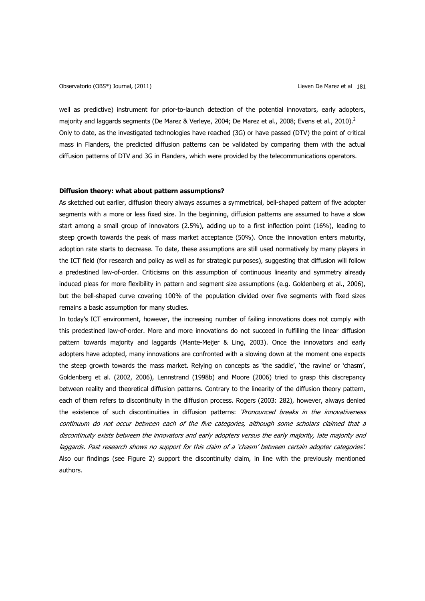Observatorio (OBS\*) Journal, (2011) Lieven De Marez et al 181

well as predictive) instrument for prior-to-launch detection of the potential innovators, early adopters, majority and laggards segments (De Marez & Verleye, 2004; De Marez et al., 2008; Evens et al., 2010).<sup>2</sup> Only to date, as the investigated technologies have reached (3G) or have passed (DTV) the point of critical mass in Flanders, the predicted diffusion patterns can be validated by comparing them with the actual diffusion patterns of DTV and 3G in Flanders, which were provided by the telecommunications operators.

## **Diffusion theory: what about pattern assumptions?**

As sketched out earlier, diffusion theory always assumes a symmetrical, bell-shaped pattern of five adopter segments with a more or less fixed size. In the beginning, diffusion patterns are assumed to have a slow start among a small group of innovators (2.5%), adding up to a first inflection point (16%), leading to steep growth towards the peak of mass market acceptance (50%). Once the innovation enters maturity, adoption rate starts to decrease. To date, these assumptions are still used normatively by many players in the ICT field (for research and policy as well as for strategic purposes), suggesting that diffusion will follow a predestined law-of-order. Criticisms on this assumption of continuous linearity and symmetry already induced pleas for more flexibility in pattern and segment size assumptions (e.g. Goldenberg et al., 2006), but the bell-shaped curve covering 100% of the population divided over five segments with fixed sizes remains a basic assumption for many studies.

In today's ICT environment, however, the increasing number of failing innovations does not comply with this predestined law-of-order. More and more innovations do not succeed in fulfilling the linear diffusion pattern towards majority and laggards (Mante-Meijer & Ling, 2003). Once the innovators and early adopters have adopted, many innovations are confronted with a slowing down at the moment one expects the steep growth towards the mass market. Relying on concepts as 'the saddle', 'the ravine' or 'chasm', Goldenberg et al. (2002, 2006), Lennstrand (1998b) and Moore (2006) tried to grasp this discrepancy between reality and theoretical diffusion patterns. Contrary to the linearity of the diffusion theory pattern, each of them refers to discontinuity in the diffusion process. Rogers (2003: 282), however, always denied the existence of such discontinuities in diffusion patterns: '*Pronounced breaks in the innovativeness* continuum do not occur between each of the five categories, although some scholars claimed that a discontinuity exists between the innovators and early adopters versus the early majority, late majority and laggards. Past research shows no support for this claim of a 'chasm' between certain adopter categories'. Also our findings (see Figure 2) support the discontinuity claim, in line with the previously mentioned authors.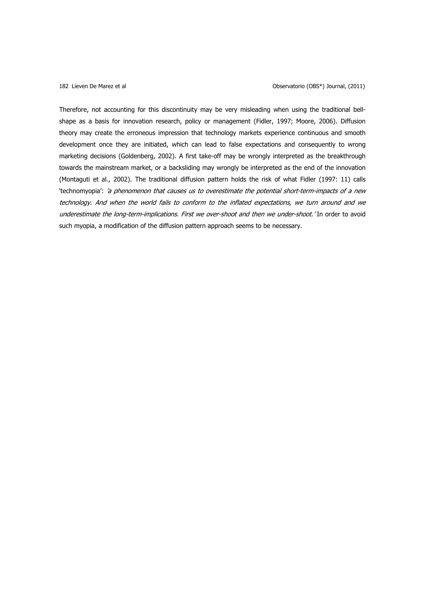Therefore, not accounting for this discontinuity may be very misleading when using the traditional bellshape as a basis for innovation research, policy or management (Fidler, 1997; Moore, 2006). Diffusion theory may create the erroneous impression that technology markets experience continuous and smooth development once they are initiated, which can lead to false expectations and consequently to wrong marketing decisions (Goldenberg, 2002). A first take-off may be wrongly interpreted as the breakthrough towards the mainstream market, or a backsliding may wrongly be interpreted as the end of the innovation (Montaguti et al., 2002). The traditional diffusion pattern holds the risk of what Fidler (1997: 11) calls 'technomyopia': 'a phenomenon that causes us to overestimate the potential short-term-impacts of a new technology. And when the world fails to conform to the inflated expectations, we turn around and we underestimate the long-term-implications. First we over-shoot and then we under-shoot.' In order to avoid such myopia, a modification of the diffusion pattern approach seems to be necessary.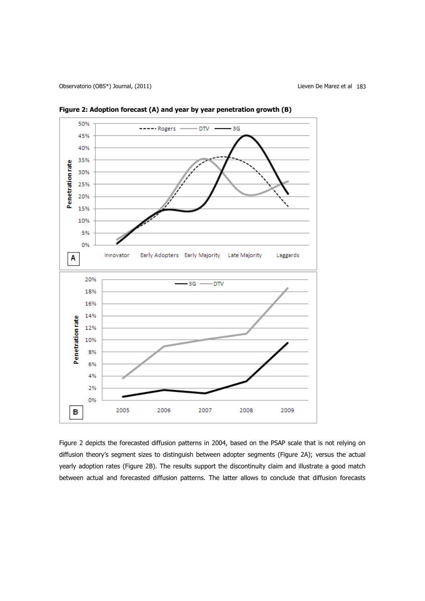Observatorio (OBS\*) Journal, (2011) Lieven De Marez et al 183



**Figure 2: Adoption forecast (A) and year by year penetration growth (B)** 

Figure 2 depicts the forecasted diffusion patterns in 2004, based on the PSAP scale that is not relying on diffusion theory's segment sizes to distinguish between adopter segments (Figure 2A); versus the actual yearly adoption rates (Figure 2B). The results support the discontinuity claim and illustrate a good match between actual and forecasted diffusion patterns. The latter allows to conclude that diffusion forecasts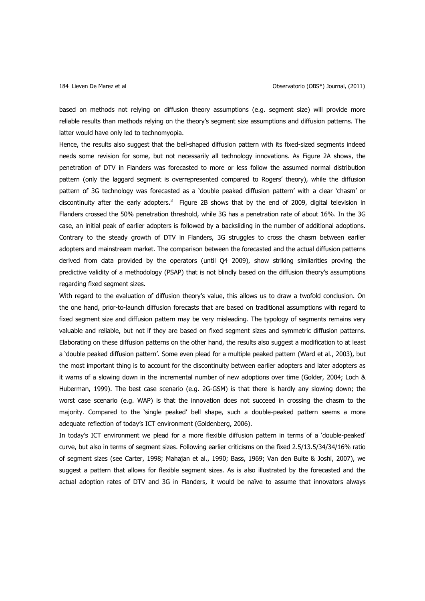based on methods not relying on diffusion theory assumptions (e.g. segment size) will provide more reliable results than methods relying on the theory's segment size assumptions and diffusion patterns. The latter would have only led to technomyopia.

Hence, the results also suggest that the bell-shaped diffusion pattern with its fixed-sized segments indeed needs some revision for some, but not necessarily all technology innovations. As Figure 2A shows, the penetration of DTV in Flanders was forecasted to more or less follow the assumed normal distribution pattern (only the laggard segment is overrepresented compared to Rogers' theory), while the diffusion pattern of 3G technology was forecasted as a 'double peaked diffusion pattern' with a clear 'chasm' or discontinuity after the early adopters.<sup>3</sup> Figure 2B shows that by the end of 2009, digital television in Flanders crossed the 50% penetration threshold, while 3G has a penetration rate of about 16%. In the 3G case, an initial peak of earlier adopters is followed by a backsliding in the number of additional adoptions. Contrary to the steady growth of DTV in Flanders, 3G struggles to cross the chasm between earlier adopters and mainstream market. The comparison between the forecasted and the actual diffusion patterns derived from data provided by the operators (until Q4 2009), show striking similarities proving the predictive validity of a methodology (PSAP) that is not blindly based on the diffusion theory's assumptions regarding fixed segment sizes.

With regard to the evaluation of diffusion theory's value, this allows us to draw a twofold conclusion. On the one hand, prior-to-launch diffusion forecasts that are based on traditional assumptions with regard to fixed segment size and diffusion pattern may be very misleading. The typology of segments remains very valuable and reliable, but not if they are based on fixed segment sizes and symmetric diffusion patterns. Elaborating on these diffusion patterns on the other hand, the results also suggest a modification to at least a 'double peaked diffusion pattern'. Some even plead for a multiple peaked pattern (Ward et al., 2003), but the most important thing is to account for the discontinuity between earlier adopters and later adopters as it warns of a slowing down in the incremental number of new adoptions over time (Golder, 2004; Loch & Huberman, 1999). The best case scenario (e.g. 2G-GSM) is that there is hardly any slowing down; the worst case scenario (e.g. WAP) is that the innovation does not succeed in crossing the chasm to the majority. Compared to the 'single peaked' bell shape, such a double-peaked pattern seems a more adequate reflection of today's ICT environment (Goldenberg, 2006).

In today's ICT environment we plead for a more flexible diffusion pattern in terms of a 'double-peaked' curve, but also in terms of segment sizes. Following earlier criticisms on the fixed 2.5/13.5/34/34/16% ratio of segment sizes (see Carter, 1998; Mahajan et al., 1990; Bass, 1969; Van den Bulte & Joshi, 2007), we suggest a pattern that allows for flexible segment sizes. As is also illustrated by the forecasted and the actual adoption rates of DTV and 3G in Flanders, it would be naïve to assume that innovators always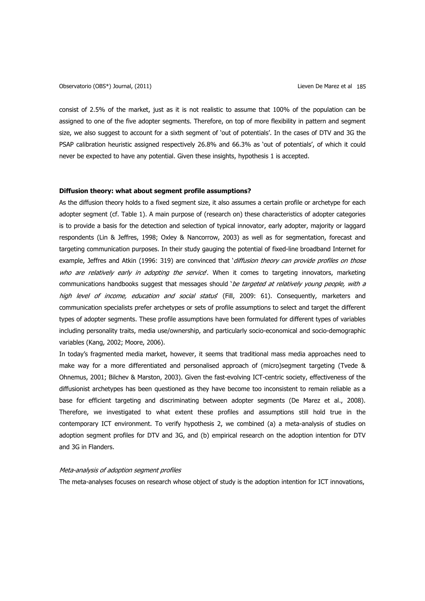Observatorio (OBS\*) Journal, (2011) Lieven De Marez et al 185

consist of 2.5% of the market, just as it is not realistic to assume that 100% of the population can be assigned to one of the five adopter segments. Therefore, on top of more flexibility in pattern and segment size, we also suggest to account for a sixth segment of 'out of potentials'. In the cases of DTV and 3G the PSAP calibration heuristic assigned respectively 26.8% and 66.3% as 'out of potentials', of which it could never be expected to have any potential. Given these insights, hypothesis 1 is accepted.

## **Diffusion theory: what about segment profile assumptions?**

As the diffusion theory holds to a fixed segment size, it also assumes a certain profile or archetype for each adopter segment (cf. Table 1). A main purpose of (research on) these characteristics of adopter categories is to provide a basis for the detection and selection of typical innovator, early adopter, majority or laggard respondents (Lin & Jeffres, 1998; Oxley & Nancorrow, 2003) as well as for segmentation, forecast and targeting communication purposes. In their study gauging the potential of fixed-line broadband Internet for example, Jeffres and Atkin (1996: 319) are convinced that 'diffusion theory can provide profiles on those who are relatively early in adopting the service. When it comes to targeting innovators, marketing communications handbooks suggest that messages should 'be targeted at relatively young people, with a high level of income, education and social status' (Fill, 2009: 61). Consequently, marketers and communication specialists prefer archetypes or sets of profile assumptions to select and target the different types of adopter segments. These profile assumptions have been formulated for different types of variables including personality traits, media use/ownership, and particularly socio-economical and socio-demographic variables (Kang, 2002; Moore, 2006).

In today's fragmented media market, however, it seems that traditional mass media approaches need to make way for a more differentiated and personalised approach of (micro)segment targeting (Tvede & Ohnemus, 2001; Bilchev & Marston, 2003). Given the fast-evolving ICT-centric society, effectiveness of the diffusionist archetypes has been questioned as they have become too inconsistent to remain reliable as a base for efficient targeting and discriminating between adopter segments (De Marez et al., 2008). Therefore, we investigated to what extent these profiles and assumptions still hold true in the contemporary ICT environment. To verify hypothesis 2, we combined (a) a meta-analysis of studies on adoption segment profiles for DTV and 3G, and (b) empirical research on the adoption intention for DTV and 3G in Flanders.

## Meta-analysis of adoption segment profiles

The meta-analyses focuses on research whose object of study is the adoption intention for ICT innovations,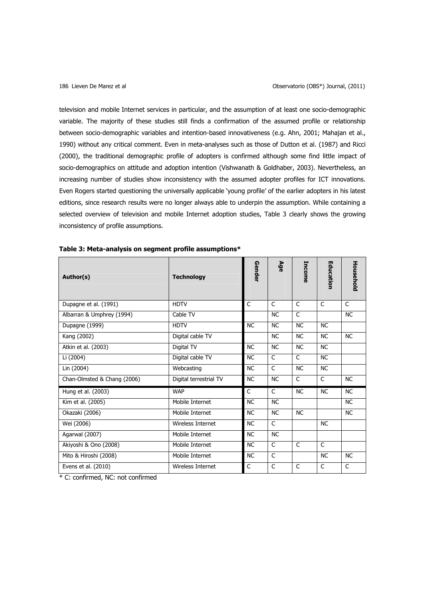television and mobile Internet services in particular, and the assumption of at least one socio-demographic variable. The majority of these studies still finds a confirmation of the assumed profile or relationship between socio-demographic variables and intention-based innovativeness (e.g. Ahn, 2001; Mahajan et al., 1990) without any critical comment. Even in meta-analyses such as those of Dutton et al. (1987) and Ricci (2000), the traditional demographic profile of adopters is confirmed although some find little impact of socio-demographics on attitude and adoption intention (Vishwanath & Goldhaber, 2003). Nevertheless, an increasing number of studies show inconsistency with the assumed adopter profiles for ICT innovations. Even Rogers started questioning the universally applicable 'young profile' of the earlier adopters in his latest editions, since research results were no longer always able to underpin the assumption. While containing a selected overview of television and mobile Internet adoption studies, Table 3 clearly shows the growing inconsistency of profile assumptions.

| Author(s)                   | <b>Technology</b>      | Gender    | Age       | Income       | Education    | Household |
|-----------------------------|------------------------|-----------|-----------|--------------|--------------|-----------|
| Dupagne et al. (1991)       | <b>HDTV</b>            | C         | C         | C            | C            | C         |
| Albarran & Umphrey (1994)   | Cable TV               |           | <b>NC</b> | C            |              | <b>NC</b> |
| Dupagne (1999)              | <b>HDTV</b>            | <b>NC</b> | <b>NC</b> | <b>NC</b>    | <b>NC</b>    |           |
| Kang (2002)                 | Digital cable TV       |           | <b>NC</b> | <b>NC</b>    | <b>NC</b>    | <b>NC</b> |
| Atkin et al. (2003)         | Digital TV             | <b>NC</b> | <b>NC</b> | <b>NC</b>    | <b>NC</b>    |           |
| Li (2004)                   | Digital cable TV       | <b>NC</b> | C         | C            | <b>NC</b>    |           |
| Lin (2004)                  | Webcasting             | <b>NC</b> | C         | <b>NC</b>    | <b>NC</b>    |           |
| Chan-Olmsted & Chang (2006) | Digital terrestrial TV | <b>NC</b> | <b>NC</b> | $\mathsf{C}$ | $\mathsf{C}$ | <b>NC</b> |
| Hung et al. (2003)          | <b>WAP</b>             | C         | C         | <b>NC</b>    | <b>NC</b>    | <b>NC</b> |
| Kim et al. (2005)           | Mobile Internet        | <b>NC</b> | <b>NC</b> |              |              | <b>NC</b> |
| Okazaki (2006)              | Mobile Internet        | <b>NC</b> | <b>NC</b> | <b>NC</b>    |              | <b>NC</b> |
| Wei (2006)                  | Wireless Internet      | <b>NC</b> | C         |              | <b>NC</b>    |           |
| Agarwal (2007)              | Mobile Internet        | <b>NC</b> | <b>NC</b> |              |              |           |
| Akiyoshi & Ono (2008)       | Mobile Internet        | <b>NC</b> | C         | $\mathsf{C}$ | $\mathsf{C}$ |           |
| Mito & Hiroshi (2008)       | Mobile Internet        | <b>NC</b> | C         |              | <b>NC</b>    | <b>NC</b> |
| Evens et al. (2010)         | Wireless Internet      | C         | C         | C            | C            | C         |

| Table 3: Meta-analysis on segment profile assumptions* |  |  |  |  |  |  |  |  |
|--------------------------------------------------------|--|--|--|--|--|--|--|--|
|--------------------------------------------------------|--|--|--|--|--|--|--|--|

\* C: confirmed, NC: not confirmed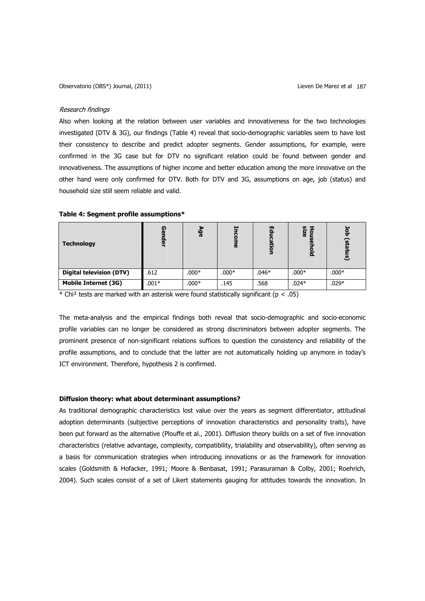#### Research findings

Also when looking at the relation between user variables and innovativeness for the two technologies investigated (DTV & 3G), our findings (Table 4) reveal that socio-demographic variables seem to have lost their consistency to describe and predict adopter segments. Gender assumptions, for example, were confirmed in the 3G case but for DTV no significant relation could be found between gender and innovativeness. The assumptions of higher income and better education among the more innovative on the other hand were only confirmed for DTV. Both for DTV and 3G, assumptions on age, job (status) and household size still seem reliable and valid.

| <b>Technology</b>               | ດ<br>œ<br>ē | هَ<br>ه | $\blacksquare$<br>œ | 문<br>Ξ.<br>$\overline{Q}$ | Hou<br>size<br>ᄒ | $\overline{\mathbf{o}}$<br>ᠳ<br>ົດ<br>▫<br>င္ယြ |
|---------------------------------|-------------|---------|---------------------|---------------------------|------------------|-------------------------------------------------|
| <b>Digital television (DTV)</b> | .612        | $.000*$ | $.000*$             | $.046*$                   | $.000*$          | $.000*$                                         |
| <b>Mobile Internet (3G)</b>     | $.001*$     | $.000*$ | .145                | .568                      | $.024*$          | $.029*$                                         |

## **Table 4: Segment profile assumptions\***

 $*$  Chi<sup>2</sup> tests are marked with an asterisk were found statistically significant ( $p < .05$ )

The meta-analysis and the empirical findings both reveal that socio-demographic and socio-economic profile variables can no longer be considered as strong discriminators between adopter segments. The prominent presence of non-significant relations suffices to question the consistency and reliability of the profile assumptions, and to conclude that the latter are not automatically holding up anymore in today's ICT environment. Therefore, hypothesis 2 is confirmed.

### **Diffusion theory: what about determinant assumptions?**

As traditional demographic characteristics lost value over the years as segment differentiator, attitudinal adoption determinants (subjective perceptions of innovation characteristics and personality traits), have been put forward as the alternative (Plouffe et al., 2001). Diffusion theory builds on a set of five innovation characteristics (relative advantage, complexity, compatibility, trialability and observability), often serving as a basis for communication strategies when introducing innovations or as the framework for innovation scales (Goldsmith & Hofacker, 1991; Moore & Benbasat, 1991; Parasuraman & Colby, 2001; Roehrich, 2004). Such scales consist of a set of Likert statements gauging for attitudes towards the innovation. In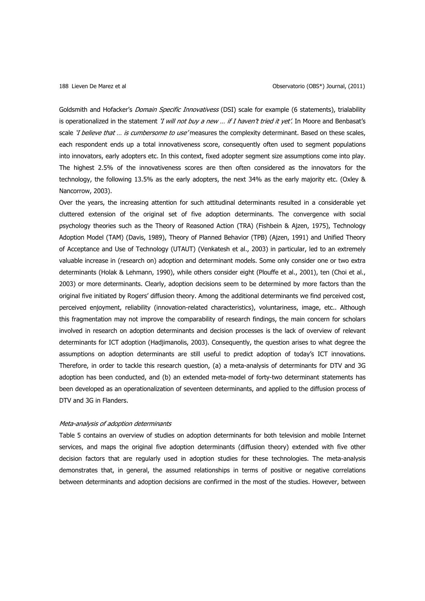Goldsmith and Hofacker's Domain Specific Innovativess (DSI) scale for example (6 statements), trialability is operationalized in the statement 'I will not buy a new ... if I haven't tried it yet'. In Moore and Benbasat's scale 'I believe that ... is cumbersome to use' measures the complexity determinant. Based on these scales, each respondent ends up a total innovativeness score, consequently often used to segment populations into innovators, early adopters etc. In this context, fixed adopter segment size assumptions come into play. The highest 2.5% of the innovativeness scores are then often considered as the innovators for the technology, the following 13.5% as the early adopters, the next 34% as the early majority etc. (Oxley & Nancorrow, 2003).

Over the years, the increasing attention for such attitudinal determinants resulted in a considerable yet cluttered extension of the original set of five adoption determinants. The convergence with social psychology theories such as the Theory of Reasoned Action (TRA) (Fishbein & Ajzen, 1975), Technology Adoption Model (TAM) (Davis, 1989), Theory of Planned Behavior (TPB) (Ajzen, 1991) and Unified Theory of Acceptance and Use of Technology (UTAUT) (Venkatesh et al., 2003) in particular, led to an extremely valuable increase in (research on) adoption and determinant models. Some only consider one or two extra determinants (Holak & Lehmann, 1990), while others consider eight (Plouffe et al., 2001), ten (Choi et al., 2003) or more determinants. Clearly, adoption decisions seem to be determined by more factors than the original five initiated by Rogers' diffusion theory. Among the additional determinants we find perceived cost, perceived enjoyment, reliability (innovation-related characteristics), voluntariness, image, etc.. Although this fragmentation may not improve the comparability of research findings, the main concern for scholars involved in research on adoption determinants and decision processes is the lack of overview of relevant determinants for ICT adoption (Hadjimanolis, 2003). Consequently, the question arises to what degree the assumptions on adoption determinants are still useful to predict adoption of today's ICT innovations. Therefore, in order to tackle this research question, (a) a meta-analysis of determinants for DTV and 3G adoption has been conducted, and (b) an extended meta-model of forty-two determinant statements has been developed as an operationalization of seventeen determinants, and applied to the diffusion process of DTV and 3G in Flanders.

### Meta-analysis of adoption determinants

Table 5 contains an overview of studies on adoption determinants for both television and mobile Internet services, and maps the original five adoption determinants (diffusion theory) extended with five other decision factors that are regularly used in adoption studies for these technologies. The meta-analysis demonstrates that, in general, the assumed relationships in terms of positive or negative correlations between determinants and adoption decisions are confirmed in the most of the studies. However, between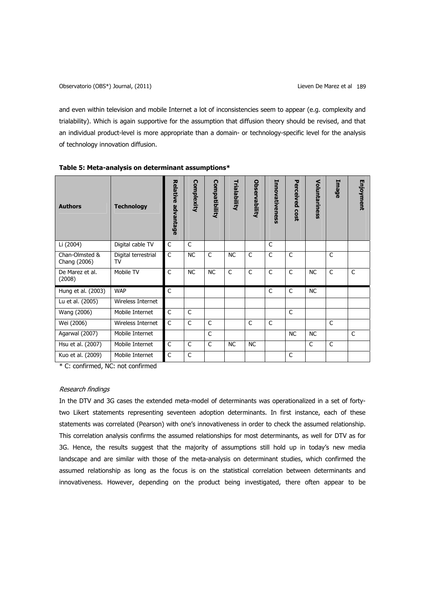and even within television and mobile Internet a lot of inconsistencies seem to appear (e.g. complexity and trialability). Which is again supportive for the assumption that diffusion theory should be revised, and that an individual product-level is more appropriate than a domain- or technology-specific level for the analysis of technology innovation diffusion.

| <b>Authors</b>                 | <b>Technology</b>         | Relative advantage | Complexity   | <b>Compatibility</b> | Trialability | Observability | Innovativeness | Perceived<br><b>COSt</b> | Voluntariness | Image        | Enjoyment    |
|--------------------------------|---------------------------|--------------------|--------------|----------------------|--------------|---------------|----------------|--------------------------|---------------|--------------|--------------|
| Li (2004)                      | Digital cable TV          | C                  | C            |                      |              |               | C              |                          |               |              |              |
| Chan-Olmsted &<br>Chang (2006) | Digital terrestrial<br>TV | $\mathsf C$        | <b>NC</b>    | C                    | <b>NC</b>    | C             | $\mathsf{C}$   | C                        |               | $\mathsf{C}$ |              |
| De Marez et al.<br>(2008)      | Mobile TV                 | $\mathsf{C}$       | <b>NC</b>    | <b>NC</b>            | $\mathsf{C}$ | C             | $\mathsf{C}$   | C                        | <b>NC</b>     | $\mathsf{C}$ | $\mathsf{C}$ |
| Hung et al. (2003)             | <b>WAP</b>                | C                  |              |                      |              |               | $\mathsf{C}$   | C                        | <b>NC</b>     |              |              |
| Lu et al. (2005)               | Wireless Internet         |                    |              |                      |              |               |                |                          |               |              |              |
| Wang (2006)                    | Mobile Internet           | $\mathsf{C}$       | $\mathsf{C}$ |                      |              |               |                | $\mathsf{C}$             |               |              |              |
| Wei (2006)                     | Wireless Internet         | $\mathsf{C}$       | $\mathsf{C}$ | $\mathsf{C}$         |              | C             | $\mathsf{C}$   |                          |               | $\mathsf{C}$ |              |
| Agarwal (2007)                 | Mobile Internet           |                    |              | $\mathsf{C}$         |              |               |                | <b>NC</b>                | <b>NC</b>     |              | C            |
| Hsu et al. (2007)              | Mobile Internet           | C                  | $\mathsf{C}$ | $\mathsf{C}$         | <b>NC</b>    | <b>NC</b>     |                |                          | C             | C            |              |
| Kuo et al. (2009)              | Mobile Internet           | $\mathsf{C}$       | $\mathsf{C}$ |                      |              |               |                | C                        |               |              |              |

|  |  | Table 5: Meta-analysis on determinant assumptions* |
|--|--|----------------------------------------------------|
|  |  |                                                    |

\* C: confirmed, NC: not confirmed

# Research findings

In the DTV and 3G cases the extended meta-model of determinants was operationalized in a set of fortytwo Likert statements representing seventeen adoption determinants. In first instance, each of these statements was correlated (Pearson) with one's innovativeness in order to check the assumed relationship. This correlation analysis confirms the assumed relationships for most determinants, as well for DTV as for 3G. Hence, the results suggest that the majority of assumptions still hold up in today's new media landscape and are similar with those of the meta-analysis on determinant studies, which confirmed the assumed relationship as long as the focus is on the statistical correlation between determinants and innovativeness. However, depending on the product being investigated, there often appear to be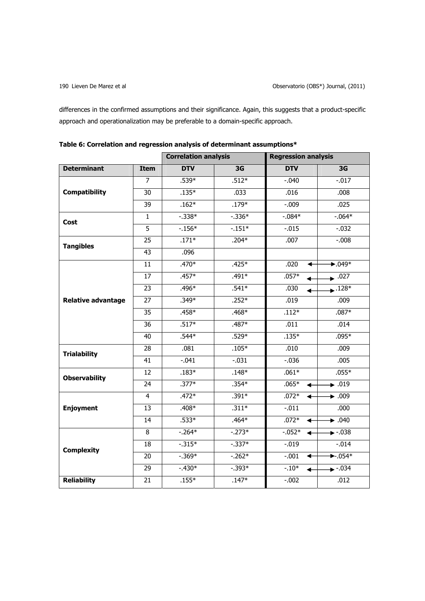differences in the confirmed assumptions and their significance. Again, this suggests that a product-specific approach and operationalization may be preferable to a domain-specific approach.

|                           |                 | <b>Correlation analysis</b> |                | <b>Regression analysis</b> |                                         |  |
|---------------------------|-----------------|-----------------------------|----------------|----------------------------|-----------------------------------------|--|
| <b>Determinant</b>        | <b>Item</b>     | <b>DTV</b>                  | 3 <sub>G</sub> | <b>DTV</b>                 | 3G                                      |  |
|                           | $\overline{7}$  | $.539*$                     | $.512*$        | $-.040$                    | $-0.017$                                |  |
| <b>Compatibility</b>      | $\overline{30}$ | $.135*$                     | .033           | .016                       | .008                                    |  |
|                           | $\overline{39}$ | $.162*$                     | $.179*$        | $-0.09$                    | .025                                    |  |
| <b>Cost</b>               | $\mathbf{1}$    | $-.338*$                    | $-.336*$       | $-0.084*$                  | $-0.064*$                               |  |
|                           | $\overline{5}$  | $-156*$                     | $-151*$        | $-.015$                    | $-.032$                                 |  |
| <b>Tangibles</b>          | 25              | $.171*$                     | $.204*$        | .007                       | $-0.008$                                |  |
|                           | 43              | .096                        |                |                            |                                         |  |
|                           | 11              | $.470*$                     | $.425*$        | .020<br>◀                  | $\blacktriangleright$ .049 <sup>*</sup> |  |
|                           | 17              | $.457*$                     | .491*          | $.057*$                    | $\bullet$ .027                          |  |
|                           | 23              | .496*                       | $.541*$        | .030                       | $\bullet$ .128*                         |  |
| <b>Relative advantage</b> | 27              | $.349*$                     | $.252*$        | .019                       | .009                                    |  |
|                           | 35              | .458*                       | $.468*$        | $.112*$                    | $.087*$                                 |  |
|                           | 36              | $.517*$                     | .487*          | .011                       | .014                                    |  |
|                           | 40              | $.544*$                     | $.529*$        | $.135*$                    | $.095*$                                 |  |
|                           | 28              | .081                        | $.105*$        | .010                       | .009                                    |  |
| <b>Trialability</b>       | 41              | $-.041$                     | $-.031$        | $-0.036$                   | .005                                    |  |
| <b>Observability</b>      | $\overline{12}$ | $.183*$                     | $.148*$        | $.061*$                    | $.055*$                                 |  |
|                           | 24              | $.377*$                     | $.354*$        | $.065*$                    | $\bullet$ .019                          |  |
|                           | $\overline{4}$  | $.472*$                     | $.391*$        | $.072*$<br>◀               | $\bullet$ .009                          |  |
| <b>Enjoyment</b>          | 13              | $.408*$                     | $.311*$        | $-.011$                    | .000                                    |  |
|                           | 14              | $.533*$                     | $.464*$        | $.072*$                    | $\overline{\bullet}$ .040               |  |
|                           | $\overline{8}$  | $-0.264*$                   | $-.273*$       | $-0.052*$                  | $\leftarrow$ -.038                      |  |
| <b>Complexity</b>         | 18              | $-.315*$                    | $-.337*$       | $-.019$                    | $-.014$                                 |  |
|                           | 20              | $-.369*$                    | $-0.262*$      | $-.001$<br>◀               | $\blacktriangleright$ -.054*            |  |
|                           | 29              | $-.430*$                    | $-.393*$       | $-.10*$                    | $\bullet$ -.034                         |  |
| <b>Reliability</b>        | $\overline{21}$ | $.155*$                     | $.147*$        | $-0.002$                   | .012                                    |  |

| Table 6: Correlation and regression analysis of determinant assumptions* |  |
|--------------------------------------------------------------------------|--|
|--------------------------------------------------------------------------|--|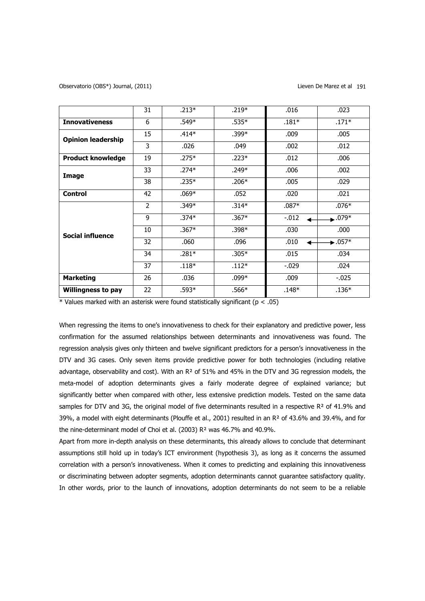|                           | 31             | $.213*$ | $.219*$ | .016    | .023                        |
|---------------------------|----------------|---------|---------|---------|-----------------------------|
| <b>Innovativeness</b>     | 6              | $.549*$ | $.535*$ | $.181*$ | $.171*$                     |
| <b>Opinion leadership</b> | 15             | $.414*$ | $.399*$ | .009    | .005                        |
|                           | 3              | .026    | .049    | .002    | .012                        |
| <b>Product knowledge</b>  | 19             | $.275*$ | $.223*$ | .012    | .006                        |
| Image                     | 33             | $.274*$ | $.249*$ | .006    | .002                        |
|                           | 38             | $.235*$ | $.206*$ | .005    | .029                        |
| <b>Control</b>            | 42             | $.069*$ | .052    | .020    | .021                        |
|                           | $\overline{2}$ | $.349*$ | $.314*$ | $.087*$ | $.076*$                     |
|                           | 9              | $.374*$ | $.367*$ | $-.012$ | $\bullet$ .079*             |
| <b>Social influence</b>   | 10             | $.367*$ | $.398*$ | .030    | .000                        |
|                           | 32             | .060    | .096    | .010    | $\blacktriangleright$ .057* |
|                           | 34             | $.281*$ | $.305*$ | .015    | .034                        |
|                           | 37             | $.118*$ | $.112*$ | $-.029$ | .024                        |
| <b>Marketing</b>          | 26             | .036    | $.099*$ | .009    | $-.025$                     |
| <b>Willingness to pay</b> | 22             | $.593*$ | $.566*$ | $.148*$ | $.136*$                     |

 $*$  Values marked with an asterisk were found statistically significant (p < .05)

When regressing the items to one's innovativeness to check for their explanatory and predictive power, less confirmation for the assumed relationships between determinants and innovativeness was found. The regression analysis gives only thirteen and twelve significant predictors for a person's innovativeness in the DTV and 3G cases. Only seven items provide predictive power for both technologies (including relative advantage, observability and cost). With an R² of 51% and 45% in the DTV and 3G regression models, the meta-model of adoption determinants gives a fairly moderate degree of explained variance; but significantly better when compared with other, less extensive prediction models. Tested on the same data samples for DTV and 3G, the original model of five determinants resulted in a respective  $R<sup>2</sup>$  of 41.9% and 39%, a model with eight determinants (Plouffe et al., 2001) resulted in an R² of 43.6% and 39.4%, and for the nine-determinant model of Choi et al. (2003) R² was 46.7% and 40.9%.

Apart from more in-depth analysis on these determinants, this already allows to conclude that determinant assumptions still hold up in today's ICT environment (hypothesis 3), as long as it concerns the assumed correlation with a person's innovativeness. When it comes to predicting and explaining this innovativeness or discriminating between adopter segments, adoption determinants cannot guarantee satisfactory quality. In other words, prior to the launch of innovations, adoption determinants do not seem to be a reliable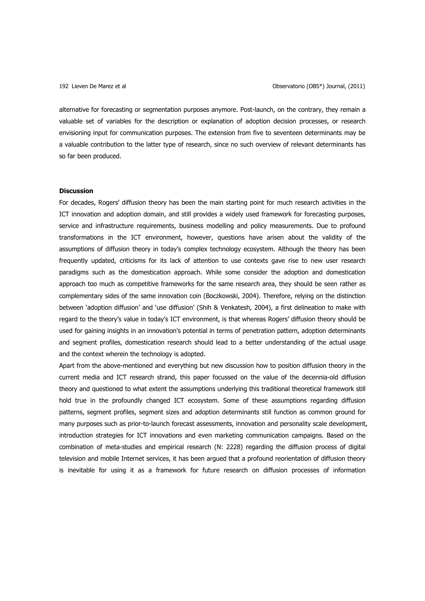alternative for forecasting or segmentation purposes anymore. Post-launch, on the contrary, they remain a valuable set of variables for the description or explanation of adoption decision processes, or research envisioning input for communication purposes. The extension from five to seventeen determinants may be a valuable contribution to the latter type of research, since no such overview of relevant determinants has so far been produced.

## **Discussion**

For decades, Rogers' diffusion theory has been the main starting point for much research activities in the ICT innovation and adoption domain, and still provides a widely used framework for forecasting purposes, service and infrastructure requirements, business modelling and policy measurements. Due to profound transformations in the ICT environment, however, questions have arisen about the validity of the assumptions of diffusion theory in today's complex technology ecosystem. Although the theory has been frequently updated, criticisms for its lack of attention to use contexts gave rise to new user research paradigms such as the domestication approach. While some consider the adoption and domestication approach too much as competitive frameworks for the same research area, they should be seen rather as complementary sides of the same innovation coin (Boczkowski, 2004). Therefore, relying on the distinction between 'adoption diffusion' and 'use diffusion' (Shih & Venkatesh, 2004), a first delineation to make with regard to the theory's value in today's ICT environment, is that whereas Rogers' diffusion theory should be used for gaining insights in an innovation's potential in terms of penetration pattern, adoption determinants and segment profiles, domestication research should lead to a better understanding of the actual usage and the context wherein the technology is adopted.

Apart from the above-mentioned and everything but new discussion how to position diffusion theory in the current media and ICT research strand, this paper focussed on the value of the decennia-old diffusion theory and questioned to what extent the assumptions underlying this traditional theoretical framework still hold true in the profoundly changed ICT ecosystem. Some of these assumptions regarding diffusion patterns, segment profiles, segment sizes and adoption determinants still function as common ground for many purposes such as prior-to-launch forecast assessments, innovation and personality scale development, introduction strategies for ICT innovations and even marketing communication campaigns. Based on the combination of meta-studies and empirical research (N: 2228) regarding the diffusion process of digital television and mobile Internet services, it has been argued that a profound reorientation of diffusion theory is inevitable for using it as a framework for future research on diffusion processes of information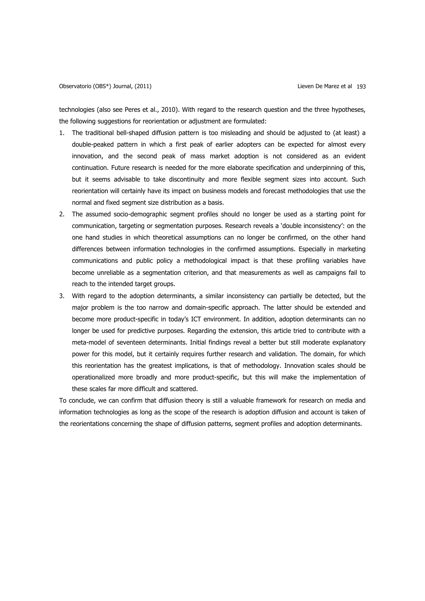technologies (also see Peres et al., 2010). With regard to the research question and the three hypotheses, the following suggestions for reorientation or adjustment are formulated:

- 1. The traditional bell-shaped diffusion pattern is too misleading and should be adjusted to (at least) a double-peaked pattern in which a first peak of earlier adopters can be expected for almost every innovation, and the second peak of mass market adoption is not considered as an evident continuation. Future research is needed for the more elaborate specification and underpinning of this, but it seems advisable to take discontinuity and more flexible segment sizes into account. Such reorientation will certainly have its impact on business models and forecast methodologies that use the normal and fixed segment size distribution as a basis.
- 2. The assumed socio-demographic segment profiles should no longer be used as a starting point for communication, targeting or segmentation purposes. Research reveals a 'double inconsistency': on the one hand studies in which theoretical assumptions can no longer be confirmed, on the other hand differences between information technologies in the confirmed assumptions. Especially in marketing communications and public policy a methodological impact is that these profiling variables have become unreliable as a segmentation criterion, and that measurements as well as campaigns fail to reach to the intended target groups.
- 3. With regard to the adoption determinants, a similar inconsistency can partially be detected, but the major problem is the too narrow and domain-specific approach. The latter should be extended and become more product-specific in today's ICT environment. In addition, adoption determinants can no longer be used for predictive purposes. Regarding the extension, this article tried to contribute with a meta-model of seventeen determinants. Initial findings reveal a better but still moderate explanatory power for this model, but it certainly requires further research and validation. The domain, for which this reorientation has the greatest implications, is that of methodology. Innovation scales should be operationalized more broadly and more product-specific, but this will make the implementation of these scales far more difficult and scattered.

To conclude, we can confirm that diffusion theory is still a valuable framework for research on media and information technologies as long as the scope of the research is adoption diffusion and account is taken of the reorientations concerning the shape of diffusion patterns, segment profiles and adoption determinants.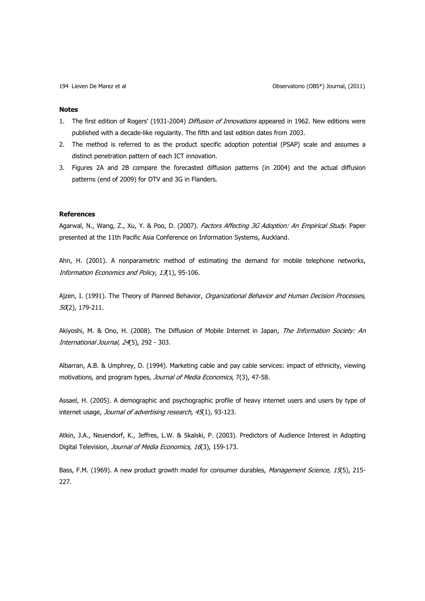## **Notes**

- 1. The first edition of Rogers' (1931-2004) Diffusion of Innovations appeared in 1962. New editions were published with a decade-like regularity. The fifth and last edition dates from 2003.
- 2. The method is referred to as the product specific adoption potential (PSAP) scale and assumes a distinct penetration pattern of each ICT innovation.
- 3. Figures 2A and 2B compare the forecasted diffusion patterns (in 2004) and the actual diffusion patterns (end of 2009) for DTV and 3G in Flanders.

## **References**

Agarwal, N., Wang, Z., Xu, Y. & Poo, D. (2007). Factors Affecting 3G Adoption: An Empirical Study. Paper presented at the 11th Pacific Asia Conference on Information Systems, Auckland.

Ahn, H. (2001). A nonparametric method of estimating the demand for mobile telephone networks, Information Economics and Policy, 13(1), 95-106.

Ajzen, I. (1991). The Theory of Planned Behavior, Organizational Behavior and Human Decision Processes, 50(2), 179-211.

Akiyoshi, M. & Ono, H. (2008). The Diffusion of Mobile Internet in Japan, The Information Society: An International Journal, 24(5), 292 - 303.

Albarran, A.B. & Umphrey, D. (1994). Marketing cable and pay cable services: impact of ethnicity, viewing motivations, and program types, Journal of Media Economics, 7(3), 47-58.

Assael, H. (2005). A demographic and psychographic profile of heavy internet users and users by type of internet usage, Journal of advertising research, 45(1), 93-123.

Atkin, J.A., Neuendorf, K., Jeffres, L.W. & Skalski, P. (2003). Predictors of Audience Interest in Adopting Digital Television, Journal of Media Economics, 16(3), 159-173.

Bass, F.M. (1969). A new product growth model for consumer durables, Management Science, 15(5), 215-227.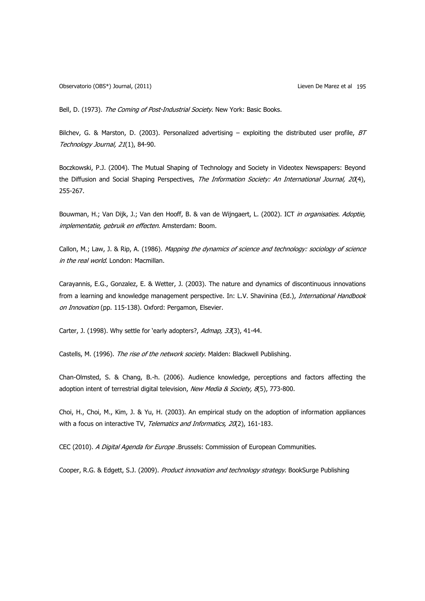Bell, D. (1973). The Coming of Post-Industrial Society. New York: Basic Books.

Bilchev, G. & Marston, D. (2003). Personalized advertising – exploiting the distributed user profile,  $BT$ Technology Journal, 21(1), 84-90.

Boczkowski, P.J. (2004). The Mutual Shaping of Technology and Society in Videotex Newspapers: Beyond the Diffusion and Social Shaping Perspectives, The Information Society: An International Journal, 20(4), 255-267.

Bouwman, H.; Van Dijk, J.; Van den Hooff, B. & van de Wijngaert, L. (2002). ICT in organisaties. Adoptie, implementatie, gebruik en effecten. Amsterdam: Boom.

Callon, M.; Law, J. & Rip, A. (1986). Mapping the dynamics of science and technology: sociology of science in the real world. London: Macmillan.

Carayannis, E.G., Gonzalez, E. & Wetter, J. (2003). The nature and dynamics of discontinuous innovations from a learning and knowledge management perspective. In: L.V. Shavinina (Ed.), International Handbook on Innovation (pp. 115-138). Oxford: Pergamon, Elsevier.

Carter, J. (1998). Why settle for 'early adopters?, Admap, 33(3), 41-44.

Castells, M. (1996). The rise of the network society. Malden: Blackwell Publishing.

Chan-Olmsted, S. & Chang, B.-h. (2006). Audience knowledge, perceptions and factors affecting the adoption intent of terrestrial digital television, New Media & Society, 8(5), 773-800.

Choi, H., Choi, M., Kim, J. & Yu, H. (2003). An empirical study on the adoption of information appliances with a focus on interactive TV, Telematics and Informatics, 20(2), 161-183.

CEC (2010). A Digital Agenda for Europe .Brussels: Commission of European Communities.

Cooper, R.G. & Edgett, S.J. (2009). Product innovation and technology strategy. BookSurge Publishing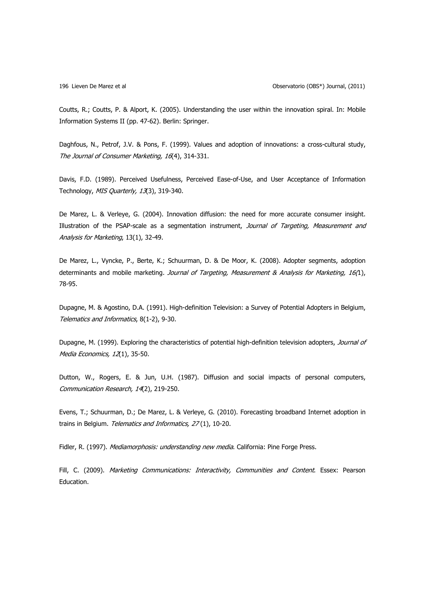Coutts, R.; Coutts, P. & Alport, K. (2005). Understanding the user within the innovation spiral. In: Mobile Information Systems II (pp. 47-62). Berlin: Springer.

Daghfous, N., Petrof, J.V. & Pons, F. (1999). Values and adoption of innovations: a cross-cultural study, The Journal of Consumer Marketing, 16(4), 314-331.

Davis, F.D. (1989). Perceived Usefulness, Perceived Ease-of-Use, and User Acceptance of Information Technology, MIS Quarterly, 13(3), 319-340.

De Marez, L. & Verleye, G. (2004). Innovation diffusion: the need for more accurate consumer insight. Illustration of the PSAP-scale as a segmentation instrument, Journal of Targeting, Measurement and Analysis for Marketing, 13(1), 32-49.

De Marez, L., Vyncke, P., Berte, K.; Schuurman, D. & De Moor, K. (2008). Adopter segments, adoption determinants and mobile marketing. Journal of Targeting, Measurement & Analysis for Marketing, 16(1), 78-95.

Dupagne, M. & Agostino, D.A. (1991). High-definition Television: a Survey of Potential Adopters in Belgium, Telematics and Informatics, 8(1-2), 9-30.

Dupagne, M. (1999). Exploring the characteristics of potential high-definition television adopters, Journal of Media Economics, 12(1), 35-50.

Dutton, W., Rogers, E. & Jun, U.H. (1987). Diffusion and social impacts of personal computers, Communication Research, 14(2), 219-250.

Evens, T.; Schuurman, D.; De Marez, L. & Verleye, G. (2010). Forecasting broadband Internet adoption in trains in Belgium. Telematics and Informatics, 27(1), 10-20.

Fidler, R. (1997). Mediamorphosis: understanding new media. California: Pine Forge Press.

Fill, C. (2009). Marketing Communications: Interactivity, Communities and Content. Essex: Pearson Education.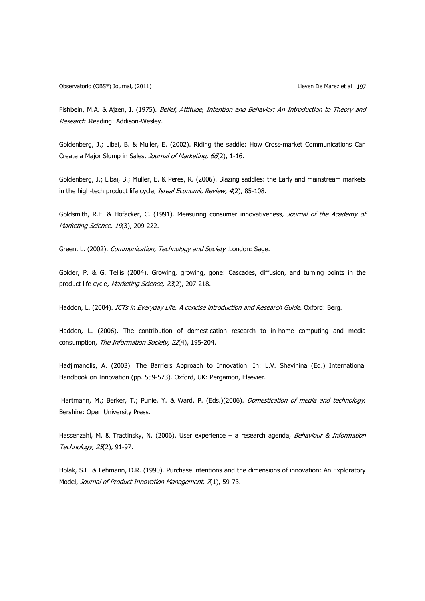Observatorio (OBS\*) Journal, (2011) Lieven De Marez et al 197

Fishbein, M.A. & Ajzen, I. (1975). Belief, Attitude, Intention and Behavior: An Introduction to Theory and Research .Reading: Addison-Wesley.

Goldenberg, J.; Libai, B. & Muller, E. (2002). Riding the saddle: How Cross-market Communications Can Create a Major Slump in Sales, Journal of Marketing, 66(2), 1-16.

Goldenberg, J.; Libai, B.; Muller, E. & Peres, R. (2006). Blazing saddles: the Early and mainstream markets in the high-tech product life cycle, Isreal Economic Review, 4(2), 85-108.

Goldsmith, R.E. & Hofacker, C. (1991). Measuring consumer innovativeness, Journal of the Academy of Marketing Science, 19(3), 209-222.

Green, L. (2002). Communication, Technology and Society .London: Sage.

Golder, P. & G. Tellis (2004). Growing, growing, gone: Cascades, diffusion, and turning points in the product life cycle, Marketing Science, 23(2), 207-218.

Haddon, L. (2004). ICTs in Everyday Life. A concise introduction and Research Guide. Oxford: Berg.

Haddon, L. (2006). The contribution of domestication research to in-home computing and media consumption, The Information Society, 22(4), 195-204.

Hadjimanolis, A. (2003). The Barriers Approach to Innovation. In: L.V. Shavinina (Ed.) International Handbook on Innovation (pp. 559-573). Oxford, UK: Pergamon, Elsevier.

Hartmann, M.; Berker, T.; Punie, Y. & Ward, P. (Eds.)(2006). *Domestication of media and technology*. Bershire: Open University Press.

Hassenzahl, M. & Tractinsky, N. (2006). User experience - a research agenda, Behaviour & Information Technology, 25(2), 91-97.

Holak, S.L. & Lehmann, D.R. (1990). Purchase intentions and the dimensions of innovation: An Exploratory Model, Journal of Product Innovation Management, 7(1), 59-73.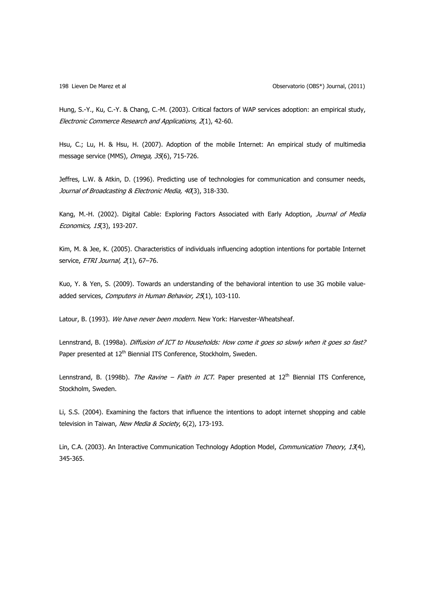Hung, S.-Y., Ku, C.-Y. & Chang, C.-M. (2003). Critical factors of WAP services adoption: an empirical study, Electronic Commerce Research and Applications, 2(1), 42-60.

Hsu, C.; Lu, H. & Hsu, H. (2007). Adoption of the mobile Internet: An empirical study of multimedia message service (MMS), Omega, 35(6), 715-726.

Jeffres, L.W. & Atkin, D. (1996). Predicting use of technologies for communication and consumer needs, Journal of Broadcasting & Electronic Media, 40(3), 318-330.

Kang, M.-H. (2002). Digital Cable: Exploring Factors Associated with Early Adoption, Journal of Media Economics, 15(3), 193-207.

Kim, M. & Jee, K. (2005). Characteristics of individuals influencing adoption intentions for portable Internet service, ETRI Journal, 2(1), 67-76.

Kuo, Y. & Yen, S. (2009). Towards an understanding of the behavioral intention to use 3G mobile valueadded services, Computers in Human Behavior, 25(1), 103-110.

Latour, B. (1993). We have never been modern. New York: Harvester-Wheatsheaf.

Lennstrand, B. (1998a). Diffusion of ICT to Households: How come it goes so slowly when it goes so fast? Paper presented at 12<sup>th</sup> Biennial ITS Conference, Stockholm, Sweden.

Lennstrand, B. (1998b). The Ravine – Faith in ICT. Paper presented at  $12<sup>th</sup>$  Biennial ITS Conference, Stockholm, Sweden.

Li, S.S. (2004). Examining the factors that influence the intentions to adopt internet shopping and cable television in Taiwan, New Media & Society, 6(2), 173-193.

Lin, C.A. (2003). An Interactive Communication Technology Adoption Model, Communication Theory, 13(4), 345-365.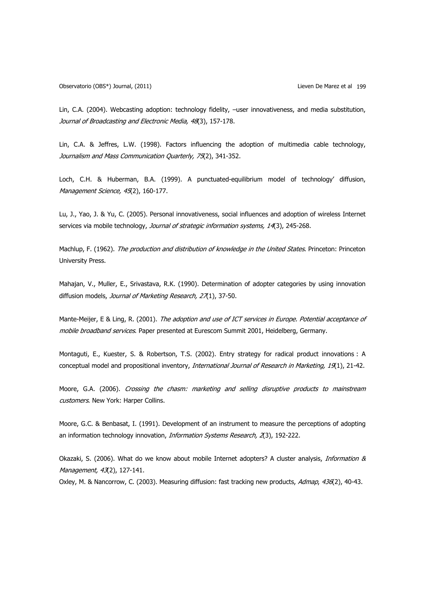Observatorio (OBS\*) Journal, (2011) Lieven De Marez et al 199

Lin, C.A. (2004). Webcasting adoption: technology fidelity, –user innovativeness, and media substitution, Journal of Broadcasting and Electronic Media, 48(3), 157-178.

Lin, C.A. & Jeffres, L.W. (1998). Factors influencing the adoption of multimedia cable technology, Journalism and Mass Communication Quarterly, 75(2), 341-352.

Loch, C.H. & Huberman, B.A. (1999). A punctuated-equilibrium model of technology' diffusion, Management Science, 45(2), 160-177.

Lu, J., Yao, J. & Yu, C. (2005). Personal innovativeness, social influences and adoption of wireless Internet services via mobile technology, Journal of strategic information systems, 14(3), 245-268.

Machlup, F. (1962). The production and distribution of knowledge in the United States. Princeton: Princeton University Press.

Mahajan, V., Muller, E., Srivastava, R.K. (1990). Determination of adopter categories by using innovation diffusion models, Journal of Marketing Research, 27(1), 37-50.

Mante-Meijer, E & Ling, R. (2001). The adoption and use of ICT services in Europe. Potential acceptance of mobile broadband services. Paper presented at Eurescom Summit 2001, Heidelberg, Germany.

Montaguti, E., Kuester, S. & Robertson, T.S. (2002). Entry strategy for radical product innovations : A conceptual model and propositional inventory, International Journal of Research in Marketing, 19(1), 21-42.

Moore, G.A. (2006). Crossing the chasm: marketing and selling disruptive products to mainstream customers. New York: Harper Collins.

Moore, G.C. & Benbasat, I. (1991). Development of an instrument to measure the perceptions of adopting an information technology innovation, *Information Systems Research, 2*(3), 192-222.

Okazaki, S. (2006). What do we know about mobile Internet adopters? A cluster analysis, *Information &* Management, 43(2), 127-141.

Oxley, M. & Nancorrow, C. (2003). Measuring diffusion: fast tracking new products, Admap, 436(2), 40-43.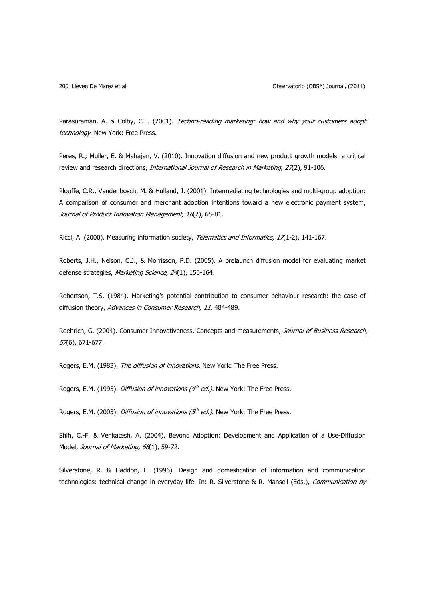Parasuraman, A. & Colby, C.L. (2001). Techno-reading marketing: how and why your customers adopt technology. New York: Free Press.

Peres, R.; Muller, E. & Mahajan, V. (2010). Innovation diffusion and new product growth models: a critical review and research directions, International Journal of Research in Marketing, 27(2), 91-106.

Plouffe, C.R., Vandenbosch, M. & Hulland, J. (2001). Intermediating technologies and multi-group adoption: A comparison of consumer and merchant adoption intentions toward a new electronic payment system, Journal of Product Innovation Management, 18(2), 65-81.

Ricci, A. (2000). Measuring information society, Telematics and Informatics, 17(1-2), 141-167.

Roberts, J.H., Nelson, C.J., & Morrisson, P.D. (2005). A prelaunch diffusion model for evaluating market defense strategies, Marketing Science, 24(1), 150-164.

Robertson, T.S. (1984). Marketing's potential contribution to consumer behaviour research: the case of diffusion theory, Advances in Consumer Research, 11, 484-489.

Roehrich, G. (2004). Consumer Innovativeness. Concepts and measurements, Journal of Business Research, 57(6), 671-677.

Rogers, E.M. (1983). The diffusion of innovations. New York: The Free Press.

Rogers, E.M. (1995). *Diffusion of innovations (* $4<sup>th</sup>$  *ed.)*. New York: The Free Press.

Rogers, E.M. (2003). *Diffusion of innovations (* $5<sup>th</sup>$  *ed.)*. New York: The Free Press.

Shih, C.-F. & Venkatesh, A. (2004). Beyond Adoption: Development and Application of a Use-Diffusion Model, Journal of Marketing, 68(1), 59-72.

Silverstone, R. & Haddon, L. (1996). Design and domestication of information and communication technologies: technical change in everyday life. In: R. Silverstone & R. Mansell (Eds.), Communication by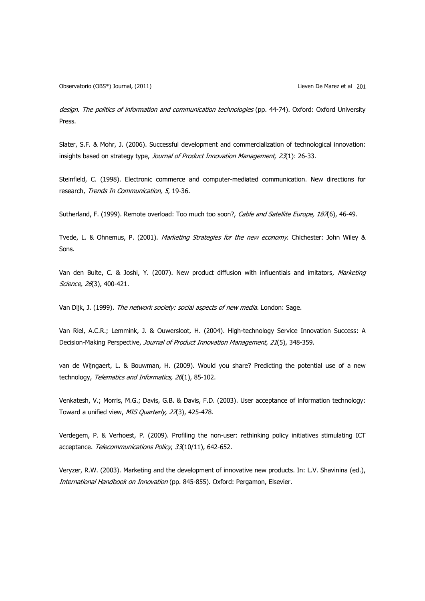design. The politics of information and communication technologies (pp. 44-74). Oxford: Oxford University Press.

Slater, S.F. & Mohr, J. (2006). Successful development and commercialization of technological innovation: insights based on strategy type, Journal of Product Innovation Management, 23(1): 26-33.

Steinfield, C. (1998). Electronic commerce and computer-mediated communication. New directions for research, Trends In Communication, 5, 19-36.

Sutherland, F. (1999). Remote overload: Too much too soon?, Cable and Satellite Europe, 187(6), 46-49.

Tvede, L. & Ohnemus, P. (2001). Marketing Strategies for the new economy. Chichester: John Wiley & Sons.

Van den Bulte, C. & Joshi, Y. (2007). New product diffusion with influentials and imitators, Marketing Science, 26(3), 400-421.

Van Dijk, J. (1999). The network society: social aspects of new media. London: Sage.

Van Riel, A.C.R.; Lemmink, J. & Ouwersloot, H. (2004). High-technology Service Innovation Success: A Decision-Making Perspective, Journal of Product Innovation Management, 21(5), 348-359.

van de Wijngaert, L. & Bouwman, H. (2009). Would you share? Predicting the potential use of a new technology, Telematics and Informatics, 26(1), 85-102.

Venkatesh, V.; Morris, M.G.; Davis, G.B. & Davis, F.D. (2003). User acceptance of information technology: Toward a unified view, MIS Quarterly, 27(3), 425-478.

Verdegem, P. & Verhoest, P. (2009). Profiling the non-user: rethinking policy initiatives stimulating ICT acceptance. Telecommunications Policy, 33(10/11), 642-652.

Veryzer, R.W. (2003). Marketing and the development of innovative new products. In: L.V. Shavinina (ed.), International Handbook on Innovation (pp. 845-855). Oxford: Pergamon, Elsevier.